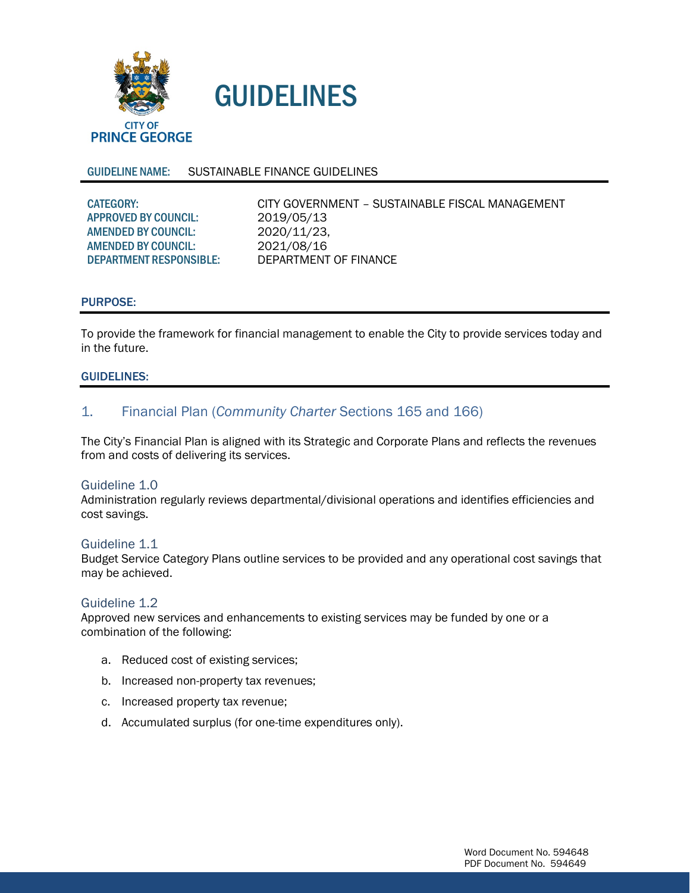

# GUIDELINES

## GUIDELINE NAME: SUSTAINABLE FINANCE GUIDELINES

| CITY GOVERNMENT – SUSTAINABLE FISCAL MANAGEMENT |
|-------------------------------------------------|
| 2019/05/13                                      |
| 2020/11/23.                                     |
| 2021/08/16                                      |
| DEPARTMENT OF FINANCE                           |
|                                                 |

## PURPOSE:

To provide the framework for financial management to enable the City to provide services today and in the future.

## GUIDELINES:

# 1. Financial Plan (*Community Charter* Sections 165 and 166)

The City's Financial Plan is aligned with its Strategic and Corporate Plans and reflects the revenues from and costs of delivering its services.

## Guideline 1.0

Administration regularly reviews departmental/divisional operations and identifies efficiencies and cost savings.

#### Guideline 1.1

Budget Service Category Plans outline services to be provided and any operational cost savings that may be achieved.

## Guideline 1.2

Approved new services and enhancements to existing services may be funded by one or a combination of the following:

- a. Reduced cost of existing services;
- b. Increased non-property tax revenues;
- c. Increased property tax revenue;
- d. Accumulated surplus (for one-time expenditures only).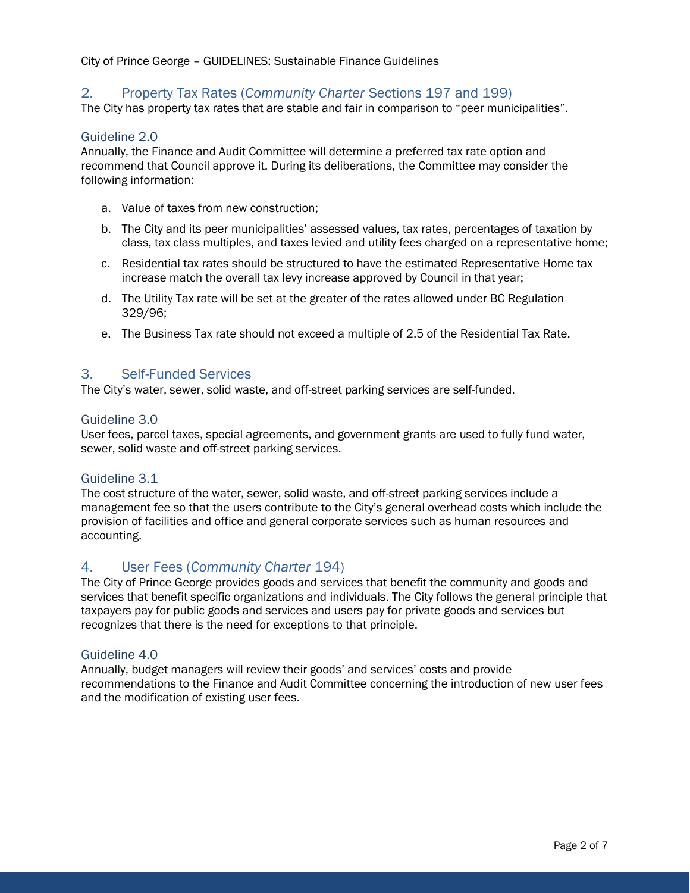# 2. Property Tax Rates (*Community Charter* Sections 197 and 199)

The City has property tax rates that are stable and fair in comparison to "peer municipalities".

## Guideline 2.0

Annually, the Finance and Audit Committee will determine a preferred tax rate option and recommend that Council approve it. During its deliberations, the Committee may consider the following information:

- a. Value of taxes from new construction;
- b. The City and its peer municipalities' assessed values, tax rates, percentages of taxation by class, tax class multiples, and taxes levied and utility fees charged on a representative home;
- c. Residential tax rates should be structured to have the estimated Representative Home tax increase match the overall tax levy increase approved by Council in that year;
- d. The Utility Tax rate will be set at the greater of the rates allowed under BC Regulation 329/96;
- e. The Business Tax rate should not exceed a multiple of 2.5 of the Residential Tax Rate.

## 3. Self-Funded Services

The City's water, sewer, solid waste, and off-street parking services are self-funded.

#### Guideline 3.0

User fees, parcel taxes, special agreements, and government grants are used to fully fund water, sewer, solid waste and off-street parking services.

## Guideline 3.1

The cost structure of the water, sewer, solid waste, and off-street parking services include a management fee so that the users contribute to the City's general overhead costs which include the provision of facilities and office and general corporate services such as human resources and accounting.

## 4. User Fees (*Community Charter* 194)

The City of Prince George provides goods and services that benefit the community and goods and services that benefit specific organizations and individuals. The City follows the general principle that taxpayers pay for public goods and services and users pay for private goods and services but recognizes that there is the need for exceptions to that principle.

## Guideline 4.0

Annually, budget managers will review their goods' and services' costs and provide recommendations to the Finance and Audit Committee concerning the introduction of new user fees and the modification of existing user fees.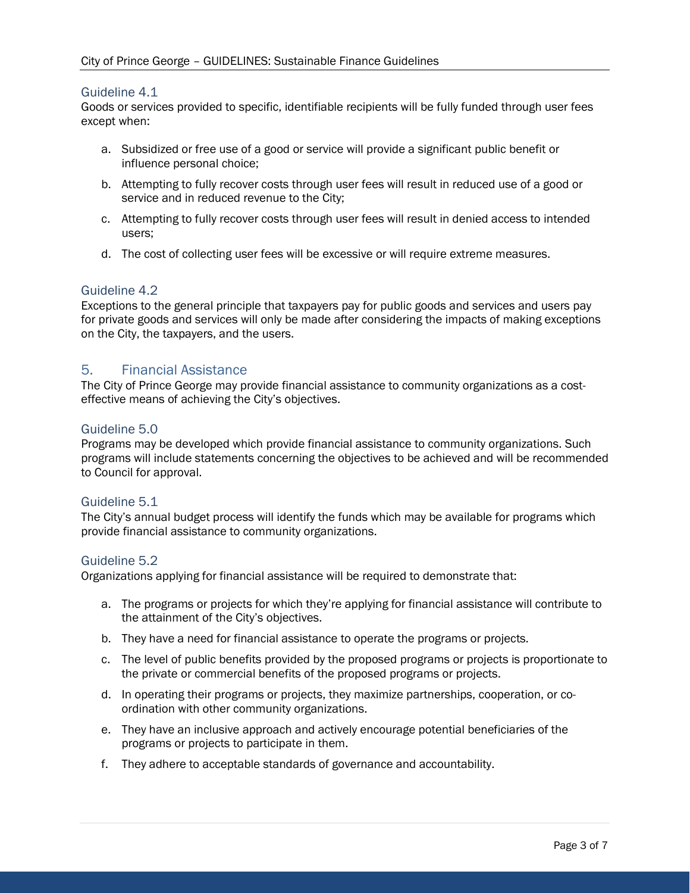## Guideline 4.1

Goods or services provided to specific, identifiable recipients will be fully funded through user fees except when:

- a. Subsidized or free use of a good or service will provide a significant public benefit or influence personal choice;
- b. Attempting to fully recover costs through user fees will result in reduced use of a good or service and in reduced revenue to the City;
- c. Attempting to fully recover costs through user fees will result in denied access to intended users;
- d. The cost of collecting user fees will be excessive or will require extreme measures.

## Guideline 4.2

Exceptions to the general principle that taxpayers pay for public goods and services and users pay for private goods and services will only be made after considering the impacts of making exceptions on the City, the taxpayers, and the users.

## 5. Financial Assistance

The City of Prince George may provide financial assistance to community organizations as a costeffective means of achieving the City's objectives.

## Guideline 5.0

Programs may be developed which provide financial assistance to community organizations. Such programs will include statements concerning the objectives to be achieved and will be recommended to Council for approval.

## Guideline 5.1

The City's annual budget process will identify the funds which may be available for programs which provide financial assistance to community organizations.

## Guideline 5.2

Organizations applying for financial assistance will be required to demonstrate that:

- a. The programs or projects for which they're applying for financial assistance will contribute to the attainment of the City's objectives.
- b. They have a need for financial assistance to operate the programs or projects.
- c. The level of public benefits provided by the proposed programs or projects is proportionate to the private or commercial benefits of the proposed programs or projects.
- d. In operating their programs or projects, they maximize partnerships, cooperation, or coordination with other community organizations.
- e. They have an inclusive approach and actively encourage potential beneficiaries of the programs or projects to participate in them.
- f. They adhere to acceptable standards of governance and accountability.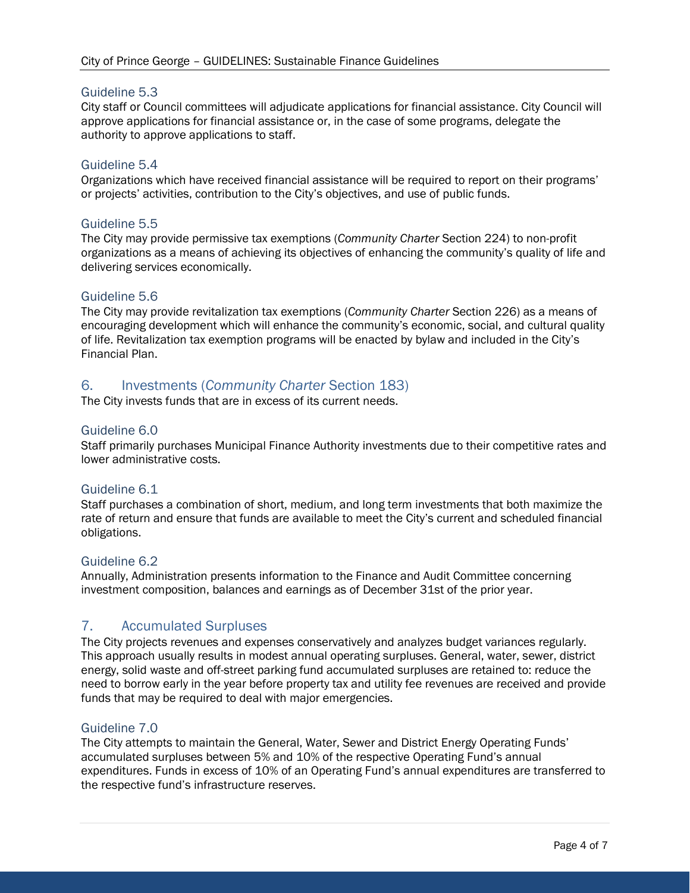## Guideline 5.3

City staff or Council committees will adjudicate applications for financial assistance. City Council will approve applications for financial assistance or, in the case of some programs, delegate the authority to approve applications to staff.

## Guideline 5.4

Organizations which have received financial assistance will be required to report on their programs' or projects' activities, contribution to the City's objectives, and use of public funds.

## Guideline 5.5

The City may provide permissive tax exemptions (*Community Charter* Section 224) to non-profit organizations as a means of achieving its objectives of enhancing the community's quality of life and delivering services economically.

#### Guideline 5.6

The City may provide revitalization tax exemptions (*Community Charter* Section 226) as a means of encouraging development which will enhance the community's economic, social, and cultural quality of life. Revitalization tax exemption programs will be enacted by bylaw and included in the City's Financial Plan.

## 6. Investments (*Community Charter* Section 183)

The City invests funds that are in excess of its current needs.

#### Guideline 6.0

Staff primarily purchases Municipal Finance Authority investments due to their competitive rates and lower administrative costs.

#### Guideline 6.1

Staff purchases a combination of short, medium, and long term investments that both maximize the rate of return and ensure that funds are available to meet the City's current and scheduled financial obligations.

#### Guideline 6.2

Annually, Administration presents information to the Finance and Audit Committee concerning investment composition, balances and earnings as of December 31st of the prior year.

## 7. Accumulated Surpluses

The City projects revenues and expenses conservatively and analyzes budget variances regularly. This approach usually results in modest annual operating surpluses. General, water, sewer, district energy, solid waste and off-street parking fund accumulated surpluses are retained to: reduce the need to borrow early in the year before property tax and utility fee revenues are received and provide funds that may be required to deal with major emergencies.

#### Guideline 7.0

The City attempts to maintain the General, Water, Sewer and District Energy Operating Funds' accumulated surpluses between 5% and 10% of the respective Operating Fund's annual expenditures. Funds in excess of 10% of an Operating Fund's annual expenditures are transferred to the respective fund's infrastructure reserves.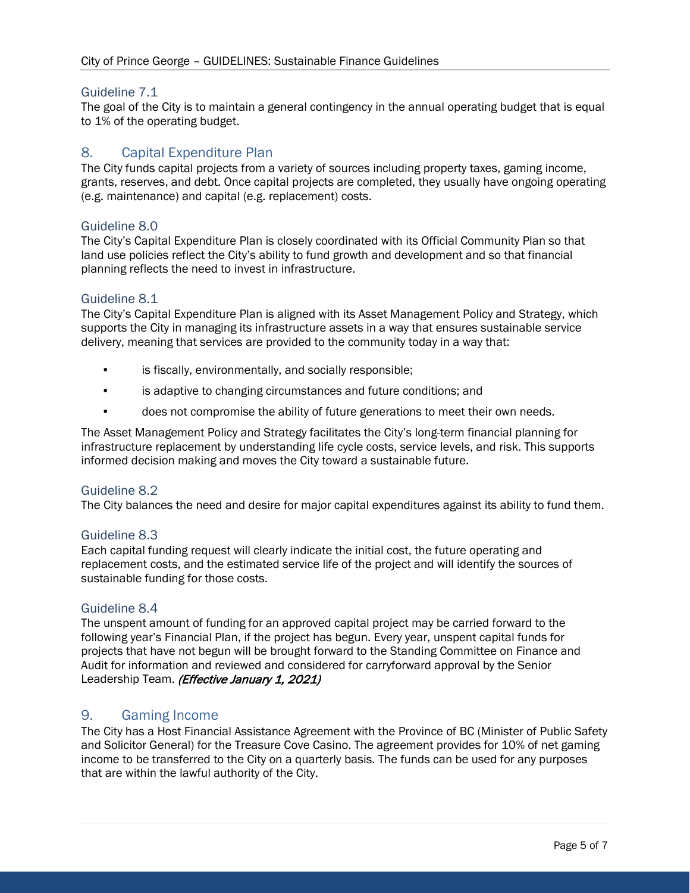## Guideline 7.1

The goal of the City is to maintain a general contingency in the annual operating budget that is equal to 1% of the operating budget.

# 8. Capital Expenditure Plan

The City funds capital projects from a variety of sources including property taxes, gaming income, grants, reserves, and debt. Once capital projects are completed, they usually have ongoing operating (e.g. maintenance) and capital (e.g. replacement) costs.

## Guideline 8.0

The City's Capital Expenditure Plan is closely coordinated with its Official Community Plan so that land use policies reflect the City's ability to fund growth and development and so that financial planning reflects the need to invest in infrastructure.

#### Guideline 8.1

The City's Capital Expenditure Plan is aligned with its Asset Management Policy and Strategy, which supports the City in managing its infrastructure assets in a way that ensures sustainable service delivery, meaning that services are provided to the community today in a way that:

- is fiscally, environmentally, and socially responsible;
- is adaptive to changing circumstances and future conditions; and
- does not compromise the ability of future generations to meet their own needs.

The Asset Management Policy and Strategy facilitates the City's long-term financial planning for infrastructure replacement by understanding life cycle costs, service levels, and risk. This supports informed decision making and moves the City toward a sustainable future.

## Guideline 8.2

The City balances the need and desire for major capital expenditures against its ability to fund them.

#### Guideline 8.3

Each capital funding request will clearly indicate the initial cost, the future operating and replacement costs, and the estimated service life of the project and will identify the sources of sustainable funding for those costs.

#### Guideline 8.4

The unspent amount of funding for an approved capital project may be carried forward to the following year's Financial Plan, if the project has begun. Every year, unspent capital funds for projects that have not begun will be brought forward to the Standing Committee on Finance and Audit for information and reviewed and considered for carryforward approval by the Senior Leadership Team. (Effective January 1, 2021)

## 9. Gaming Income

The City has a Host Financial Assistance Agreement with the Province of BC (Minister of Public Safety and Solicitor General) for the Treasure Cove Casino. The agreement provides for 10% of net gaming income to be transferred to the City on a quarterly basis. The funds can be used for any purposes that are within the lawful authority of the City.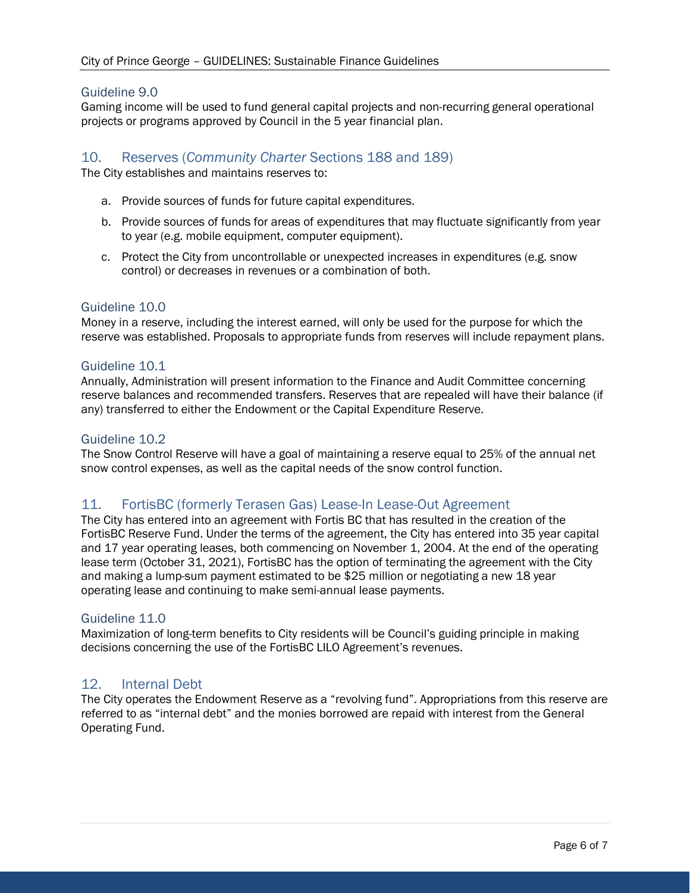## Guideline 9.0

Gaming income will be used to fund general capital projects and non-recurring general operational projects or programs approved by Council in the 5 year financial plan.

## 10. Reserves (*Community Charter* Sections 188 and 189)

The City establishes and maintains reserves to:

- a. Provide sources of funds for future capital expenditures.
- b. Provide sources of funds for areas of expenditures that may fluctuate significantly from year to year (e.g. mobile equipment, computer equipment).
- c. Protect the City from uncontrollable or unexpected increases in expenditures (e.g. snow control) or decreases in revenues or a combination of both.

#### Guideline 10.0

Money in a reserve, including the interest earned, will only be used for the purpose for which the reserve was established. Proposals to appropriate funds from reserves will include repayment plans.

#### Guideline 10.1

Annually, Administration will present information to the Finance and Audit Committee concerning reserve balances and recommended transfers. Reserves that are repealed will have their balance (if any) transferred to either the Endowment or the Capital Expenditure Reserve.

#### Guideline 10.2

The Snow Control Reserve will have a goal of maintaining a reserve equal to 25% of the annual net snow control expenses, as well as the capital needs of the snow control function.

## 11. FortisBC (formerly Terasen Gas) Lease-In Lease-Out Agreement

The City has entered into an agreement with Fortis BC that has resulted in the creation of the FortisBC Reserve Fund. Under the terms of the agreement, the City has entered into 35 year capital and 17 year operating leases, both commencing on November 1, 2004. At the end of the operating lease term (October 31, 2021), FortisBC has the option of terminating the agreement with the City and making a lump-sum payment estimated to be \$25 million or negotiating a new 18 year operating lease and continuing to make semi-annual lease payments.

#### Guideline 11.0

Maximization of long-term benefits to City residents will be Council's guiding principle in making decisions concerning the use of the FortisBC LILO Agreement's revenues.

## 12. Internal Debt

The City operates the Endowment Reserve as a "revolving fund". Appropriations from this reserve are referred to as "internal debt" and the monies borrowed are repaid with interest from the General Operating Fund.